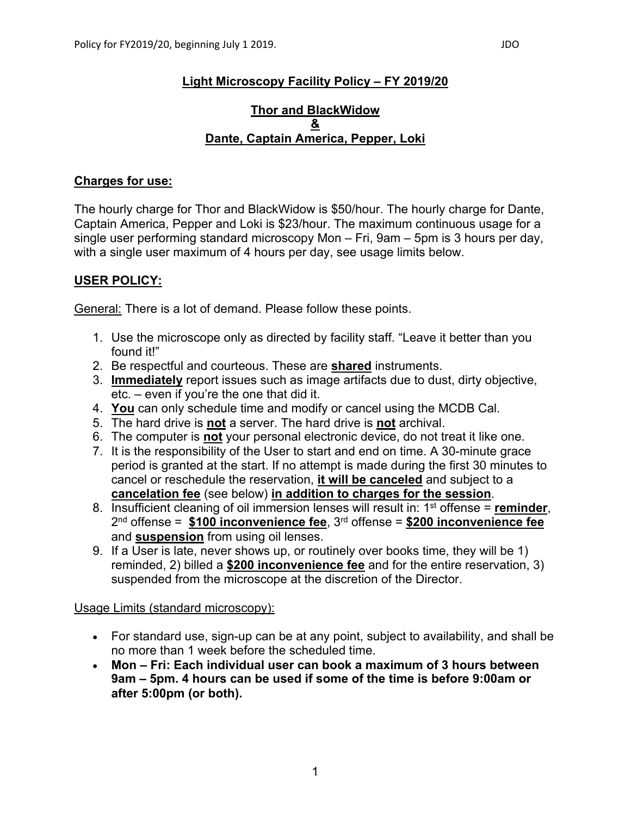# **Light Microscopy Facility Policy – FY 2019/20**

#### **Thor and BlackWidow & Dante, Captain America, Pepper, Loki**

#### **Charges for use:**

The hourly charge for Thor and BlackWidow is \$50/hour. The hourly charge for Dante, Captain America, Pepper and Loki is \$23/hour. The maximum continuous usage for a single user performing standard microscopy Mon – Fri, 9am – 5pm is 3 hours per day, with a single user maximum of 4 hours per day, see usage limits below.

## **USER POLICY:**

General: There is a lot of demand. Please follow these points.

- 1. Use the microscope only as directed by facility staff. "Leave it better than you found it!"
- 2. Be respectful and courteous. These are **shared** instruments.
- 3. **Immediately** report issues such as image artifacts due to dust, dirty objective, etc. – even if you're the one that did it.
- 4. **You** can only schedule time and modify or cancel using the MCDB Cal.
- 5. The hard drive is **not** a server. The hard drive is **not** archival.
- 6. The computer is **not** your personal electronic device, do not treat it like one.
- 7. It is the responsibility of the User to start and end on time. A 30-minute grace period is granted at the start. If no attempt is made during the first 30 minutes to cancel or reschedule the reservation, **it will be canceled** and subject to a **cancelation fee** (see below) **in addition to charges for the session**.
- 8. Insufficient cleaning of oil immersion lenses will result in: 1st offense = **reminder**, 2nd offense = **\$100 inconvenience fee**, 3rd offense = **\$200 inconvenience fee** and **suspension** from using oil lenses.
- 9. If a User is late, never shows up, or routinely over books time, they will be 1) reminded, 2) billed a **\$200 inconvenience fee** and for the entire reservation, 3) suspended from the microscope at the discretion of the Director.

## Usage Limits (standard microscopy):

- For standard use, sign-up can be at any point, subject to availability, and shall be no more than 1 week before the scheduled time.
- **Mon – Fri: Each individual user can book a maximum of 3 hours between 9am – 5pm. 4 hours can be used if some of the time is before 9:00am or after 5:00pm (or both).**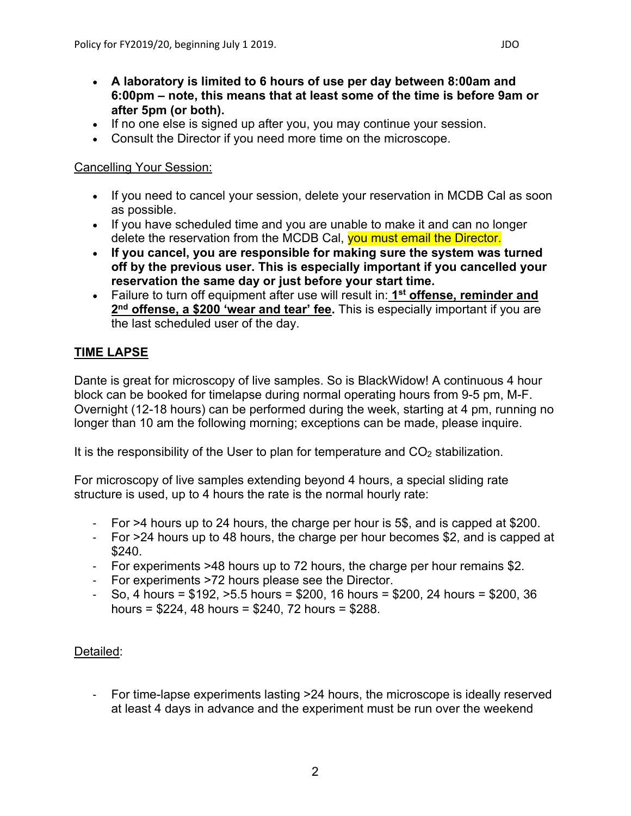- **A laboratory is limited to 6 hours of use per day between 8:00am and 6:00pm – note, this means that at least some of the time is before 9am or after 5pm (or both).**
- If no one else is signed up after you, you may continue your session.
- Consult the Director if you need more time on the microscope.

#### Cancelling Your Session:

- If you need to cancel your session, delete your reservation in MCDB Cal as soon as possible.
- If you have scheduled time and you are unable to make it and can no longer delete the reservation from the MCDB Cal, you must email the Director.
- **If you cancel, you are responsible for making sure the system was turned off by the previous user. This is especially important if you cancelled your reservation the same day or just before your start time.**
- Failure to turn off equipment after use will result in: **1st offense, reminder and 2nd offense, a \$200 'wear and tear' fee.** This is especially important if you are the last scheduled user of the day.

# **TIME LAPSE**

Dante is great for microscopy of live samples. So is BlackWidow! A continuous 4 hour block can be booked for timelapse during normal operating hours from 9-5 pm, M-F. Overnight (12-18 hours) can be performed during the week, starting at 4 pm, running no longer than 10 am the following morning; exceptions can be made, please inquire.

It is the responsibility of the User to plan for temperature and  $CO<sub>2</sub>$  stabilization.

For microscopy of live samples extending beyond 4 hours, a special sliding rate structure is used, up to 4 hours the rate is the normal hourly rate:

- For >4 hours up to 24 hours, the charge per hour is 5\$, and is capped at \$200.
- For >24 hours up to 48 hours, the charge per hour becomes \$2, and is capped at  $$240.$
- For experiments >48 hours up to 72 hours, the charge per hour remains \$2.
- For experiments >72 hours please see the Director.
- $-$  So, 4 hours = \$192,  $>5.5$  hours = \$200, 16 hours = \$200, 24 hours = \$200, 36 hours = \$224, 48 hours = \$240, 72 hours = \$288.

## Detailed:

- For time-lapse experiments lasting >24 hours, the microscope is ideally reserved at least 4 days in advance and the experiment must be run over the weekend